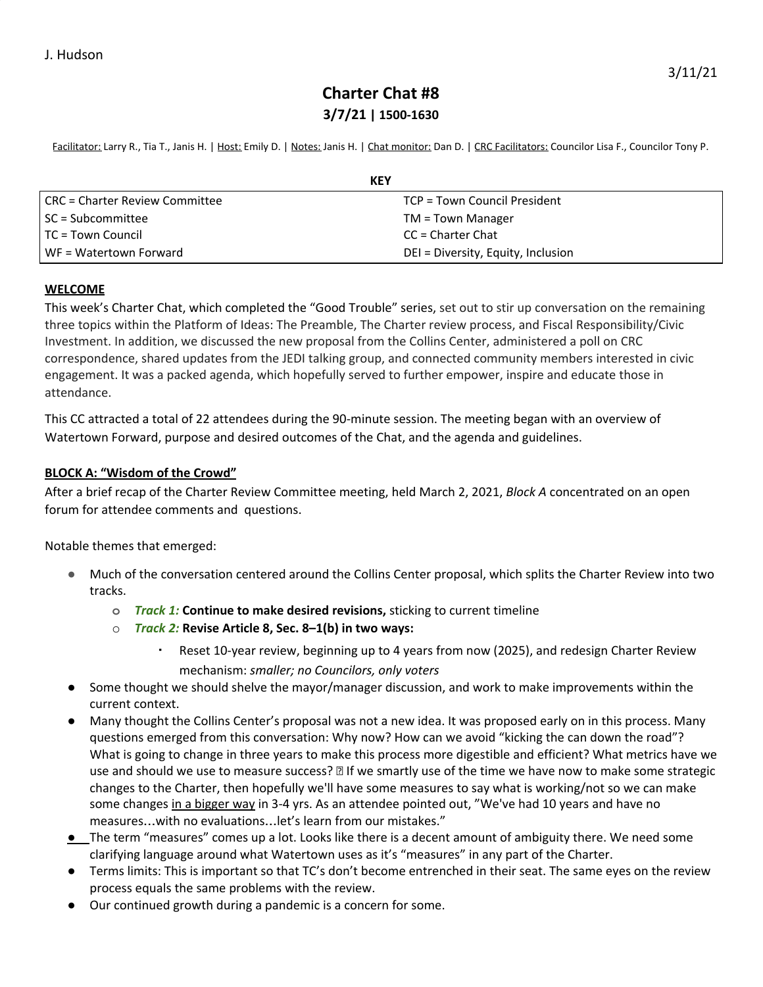## **Charter Chat #8 3/7/21 | 1500-1630**

Facilitator: Larry R., Tia T., Janis H. | Host: Emily D. | Notes: Janis H. | Chat monitor: Dan D. | CRC Facilitators: Councilor Lisa F., Councilor Tony P.

| KEY                            |                                    |
|--------------------------------|------------------------------------|
| CRC = Charter Review Committee | TCP = Town Council President       |
| SC = Subcommittee              | $TM = Town$ Manager                |
| TC = Town Council              | $CC =$ Charter Chat                |
| WF = Watertown Forward         | DEI = Diversity, Equity, Inclusion |

#### **WELCOME**

This week's Charter Chat, which completed the "Good Trouble" series, set out to stir up conversation on the remaining three topics within the Platform of Ideas: The Preamble, The Charter review process, and Fiscal Responsibility/Civic Investment. In addition, we discussed the new proposal from the Collins Center, administered a poll on CRC correspondence, shared updates from the JEDI talking group, and connected community members interested in civic engagement. It was a packed agenda, which hopefully served to further empower, inspire and educate those in attendance.

This CC attracted a total of 22 attendees during the 90-minute session. The meeting began with an overview of Watertown Forward, purpose and desired outcomes of the Chat, and the agenda and guidelines.

## **BLOCK A: "Wisdom of the Crowd"**

After a brief recap of the Charter Review Committee meeting, held March 2, 2021, *Block A* concentrated on an open forum for attendee comments and questions.

Notable themes that emerged:

- **●** Much of the conversation centered around the Collins Center proposal, which splits the Charter Review into two tracks.
	- **o** *Track 1:* **Continue to make desired revisions,** sticking to current timeline
	- o *Track 2:* **Revise Article 8, Sec. 8–1(b) in two ways:**
		- Reset 10-year review, beginning up to 4 years from now (2025), and redesign Charter Review mechanism: *smaller; no Councilors, only voters*
- Some thought we should shelve the mayor/manager discussion, and work to make improvements within the current context.
- Many thought the Collins Center's proposal was not a new idea. It was proposed early on in this process. Many questions emerged from this conversation: Why now? How can we avoid "kicking the can down the road"? What is going to change in three years to make this process more digestible and efficient? What metrics have we use and should we use to measure success?  $\mathbb B$  If we smartly use of the time we have now to make some strategic changes to the Charter, then hopefully we'll have some measures to say what is working/not so we can make some changes in a bigger way in 3-4 yrs. As an attendee pointed out, "We've had 10 years and have no measures…with no evaluations…let's learn from our mistakes."
- **●** The term "measures" comes up a lot. Looks like there is a decent amount of ambiguity there. We need some clarifying language around what Watertown uses as it's "measures" in any part of the Charter.
- Terms limits: This is important so that TC's don't become entrenched in their seat. The same eyes on the review process equals the same problems with the review.
- Our continued growth during a pandemic is a concern for some.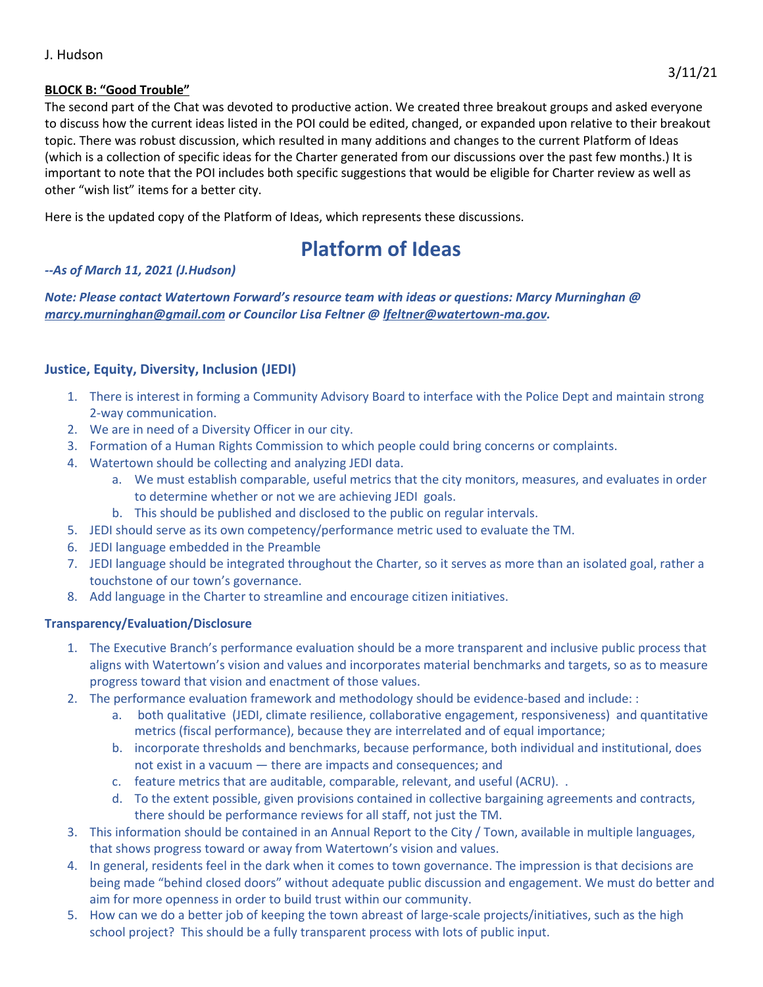#### J. Hudson

#### **BLOCK B: "Good Trouble"**

The second part of the Chat was devoted to productive action. We created three breakout groups and asked everyone to discuss how the current ideas listed in the POI could be edited, changed, or expanded upon relative to their breakout topic. There was robust discussion, which resulted in many additions and changes to the current Platform of Ideas (which is a collection of specific ideas for the Charter generated from our discussions over the past few months.) It is important to note that the POI includes both specific suggestions that would be eligible for Charter review as well as other "wish list" items for a better city.

Here is the updated copy of the Platform of Ideas, which represents these discussions.

# **Platform of Ideas**

#### *--As of March 11, 2021 (J.Hudson)*

*Note: Please contact Watertown Forward's resource team with ideas or questions: Marcy Murninghan @ [marcy.murninghan@gmail.com](mailto:marcy.murninghan@gmail.com) or Councilor Lisa Feltner @ [lfeltner@watertown-ma.gov.](mailto:lfeltner@watertown-ma.gov)*

## **Justice, Equity, Diversity, Inclusion (JEDI)**

- 1. There is interest in forming a Community Advisory Board to interface with the Police Dept and maintain strong 2-way communication.
- 2. We are in need of a Diversity Officer in our city.
- 3. Formation of a Human Rights Commission to which people could bring concerns or complaints.
- 4. Watertown should be collecting and analyzing JEDI data.
	- a. We must establish comparable, useful metrics that the city monitors, measures, and evaluates in order to determine whether or not we are achieving JEDI goals.
	- b. This should be published and disclosed to the public on regular intervals.
- 5. JEDI should serve as its own competency/performance metric used to evaluate the TM.
- 6. JEDI language embedded in the Preamble
- 7. JEDI language should be integrated throughout the Charter, so it serves as more than an isolated goal, rather a touchstone of our town's governance.
- 8. Add language in the Charter to streamline and encourage citizen initiatives.

#### **Transparency/Evaluation/Disclosure**

- 1. The Executive Branch's performance evaluation should be a more transparent and inclusive public process that aligns with Watertown's vision and values and incorporates material benchmarks and targets, so as to measure progress toward that vision and enactment of those values.
- 2. The performance evaluation framework and methodology should be evidence-based and include: :
	- a. both qualitative (JEDI, climate resilience, collaborative engagement, responsiveness) and quantitative metrics (fiscal performance), because they are interrelated and of equal importance;
	- b. incorporate thresholds and benchmarks, because performance, both individual and institutional, does not exist in a vacuum — there are impacts and consequences; and
	- c. feature metrics that are auditable, comparable, relevant, and useful (ACRU). .
	- d. To the extent possible, given provisions contained in collective bargaining agreements and contracts, there should be performance reviews for all staff, not just the TM.
- 3. This information should be contained in an Annual Report to the City / Town, available in multiple languages, that shows progress toward or away from Watertown's vision and values.
- 4. In general, residents feel in the dark when it comes to town governance. The impression is that decisions are being made "behind closed doors" without adequate public discussion and engagement. We must do better and aim for more openness in order to build trust within our community.
- 5. How can we do a better job of keeping the town abreast of large-scale projects/initiatives, such as the high school project? This should be a fully transparent process with lots of public input.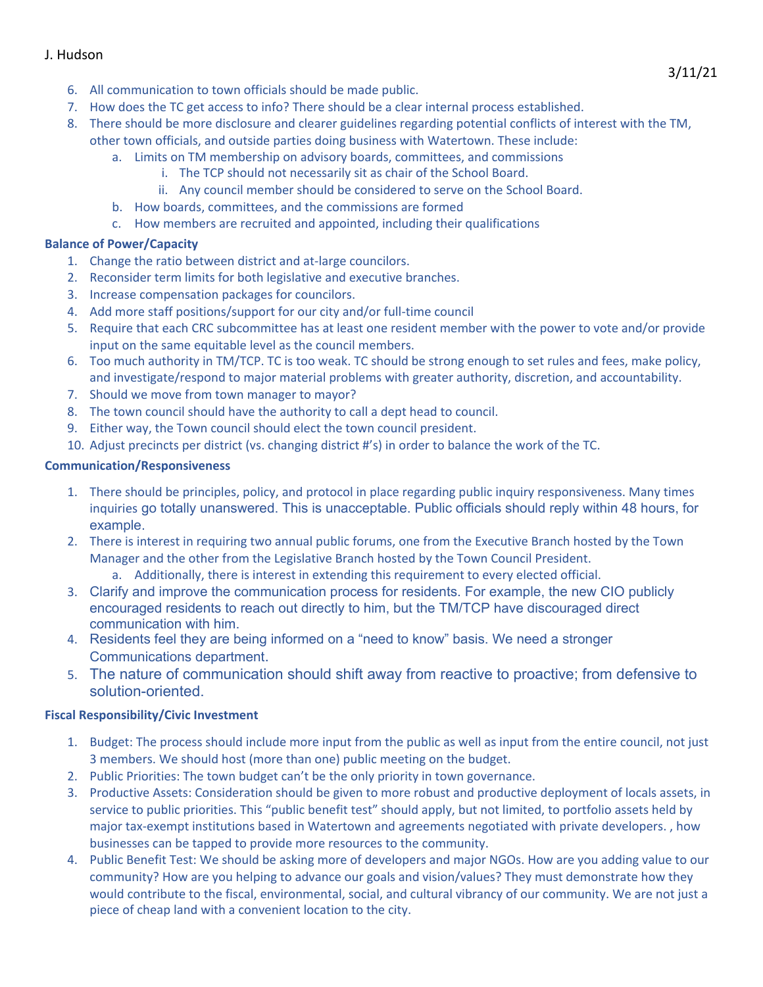## J. Hudson

- 6. All communication to town officials should be made public.
- 7. How does the TC get access to info? There should be a clear internal process established.
- 8. There should be more disclosure and clearer guidelines regarding potential conflicts of interest with the TM, other town officials, and outside parties doing business with Watertown. These include:
	- a. Limits on TM membership on advisory boards, committees, and commissions
		- i. The TCP should not necessarily sit as chair of the School Board.
		- ii. Any council member should be considered to serve on the School Board.
		- b. How boards, committees, and the commissions are formed
		- c. How members are recruited and appointed, including their qualifications

#### **Balance of Power/Capacity**

- 1. Change the ratio between district and at-large councilors.
- 2. Reconsider term limits for both legislative and executive branches.
- 3. Increase compensation packages for councilors.
- 4. Add more staff positions/support for our city and/or full-time council
- 5. Require that each CRC subcommittee has at least one resident member with the power to vote and/or provide input on the same equitable level as the council members.
- 6. Too much authority in TM/TCP. TC is too weak. TC should be strong enough to set rules and fees, make policy, and investigate/respond to major material problems with greater authority, discretion, and accountability.
- 7. Should we move from town manager to mayor?
- 8. The town council should have the authority to call a dept head to council.
- 9. Either way, the Town council should elect the town council president.
- 10. Adjust precincts per district (vs. changing district #'s) in order to balance the work of the TC.

#### **Communication/Responsiveness**

- 1. There should be principles, policy, and protocol in place regarding public inquiry responsiveness. Many times inquiries go totally unanswered. This is unacceptable. Public officials should reply within 48 hours, for example.
- 2. There is interest in requiring two annual public forums, one from the Executive Branch hosted by the Town Manager and the other from the Legislative Branch hosted by the Town Council President.
	- a. Additionally, there is interest in extending this requirement to every elected official.
- 3. Clarify and improve the communication process for residents. For example, the new CIO publicly encouraged residents to reach out directly to him, but the TM/TCP have discouraged direct communication with him.
- 4. Residents feel they are being informed on a "need to know" basis. We need a stronger Communications department.
- 5. The nature of communication should shift away from reactive to proactive; from defensive to solution-oriented.

#### **Fiscal Responsibility/Civic Investment**

- 1. Budget: The process should include more input from the public as well as input from the entire council, not just 3 members. We should host (more than one) public meeting on the budget.
- 2. Public Priorities: The town budget can't be the only priority in town governance.
- 3. Productive Assets: Consideration should be given to more robust and productive deployment of locals assets, in service to public priorities. This "public benefit test" should apply, but not limited, to portfolio assets held by major tax-exempt institutions based in Watertown and agreements negotiated with private developers. , how businesses can be tapped to provide more resources to the community.
- 4. Public Benefit Test: We should be asking more of developers and major NGOs. How are you adding value to our community? How are you helping to advance our goals and vision/values? They must demonstrate how they would contribute to the fiscal, environmental, social, and cultural vibrancy of our community. We are not just a piece of cheap land with a convenient location to the city.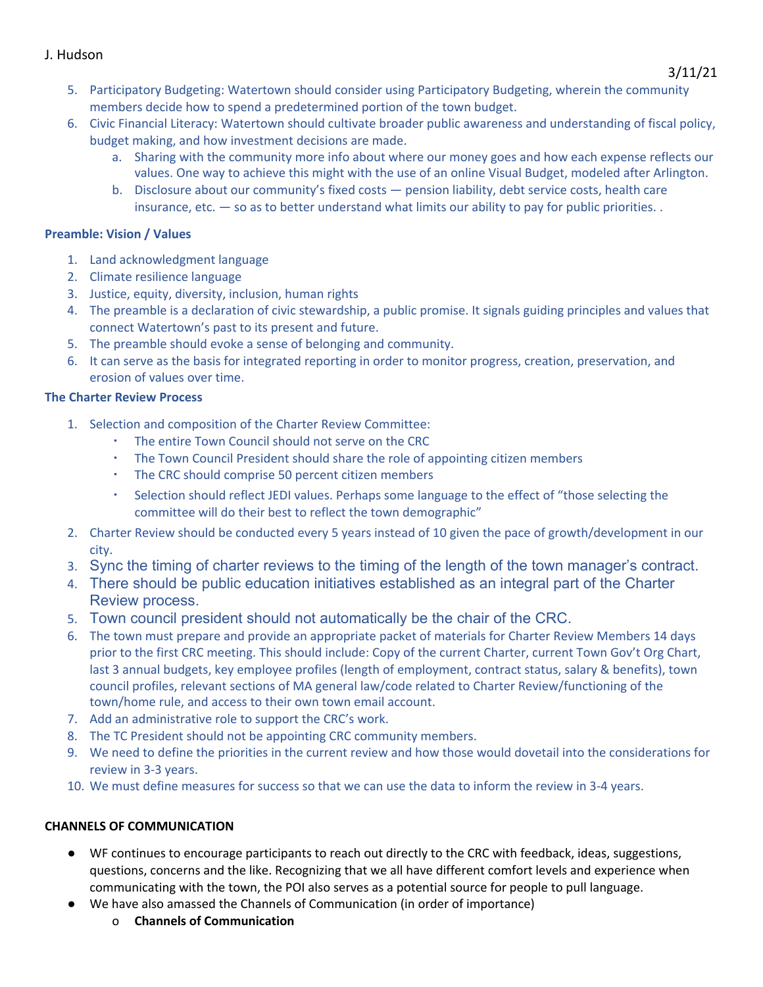## J. Hudson

- 5. Participatory Budgeting: Watertown should consider using Participatory Budgeting, wherein the community members decide how to spend a predetermined portion of the town budget.
- 6. Civic Financial Literacy: Watertown should cultivate broader public awareness and understanding of fiscal policy, budget making, and how investment decisions are made.
	- a. Sharing with the community more info about where our money goes and how each expense reflects our values. One way to achieve this might with the use of an online Visual Budget, modeled after Arlington.
	- b. Disclosure about our community's fixed costs pension liability, debt service costs, health care insurance, etc. — so as to better understand what limits our ability to pay for public priorities. .

## **Preamble: Vision / Values**

- 1. Land acknowledgment language
- 2. Climate resilience language
- 3. Justice, equity, diversity, inclusion, human rights
- 4. The preamble is a declaration of civic stewardship, a public promise. It signals guiding principles and values that connect Watertown's past to its present and future.
- 5. The preamble should evoke a sense of belonging and community.
- 6. It can serve as the basis for integrated reporting in order to monitor progress, creation, preservation, and erosion of values over time.

## **The Charter Review Process**

- 1. Selection and composition of the Charter Review Committee:
	- The entire Town Council should not serve on the CRC
	- The Town Council President should share the role of appointing citizen members
	- The CRC should comprise 50 percent citizen members
	- Selection should reflect JEDI values. Perhaps some language to the effect of "those selecting the committee will do their best to reflect the town demographic"
- 2. Charter Review should be conducted every 5 years instead of 10 given the pace of growth/development in our city.
- 3. Sync the timing of charter reviews to the timing of the length of the town manager's contract.
- 4. There should be public education initiatives established as an integral part of the Charter Review process.
- 5. Town council president should not automatically be the chair of the CRC.
- 6. The town must prepare and provide an appropriate packet of materials for Charter Review Members 14 days prior to the first CRC meeting. This should include: Copy of the current Charter, current Town Gov't Org Chart, last 3 annual budgets, key employee profiles (length of employment, contract status, salary & benefits), town council profiles, relevant sections of MA general law/code related to Charter Review/functioning of the town/home rule, and access to their own town email account.
- 7. Add an administrative role to support the CRC's work.
- 8. The TC President should not be appointing CRC community members.
- 9. We need to define the priorities in the current review and how those would dovetail into the considerations for review in 3-3 years.
- 10. We must define measures for success so that we can use the data to inform the review in 3-4 years.

## **CHANNELS OF COMMUNICATION**

- WF continues to encourage participants to reach out directly to the CRC with feedback, ideas, suggestions, questions, concerns and the like. Recognizing that we all have different comfort levels and experience when communicating with the town, the POI also serves as a potential source for people to pull language.
- We have also amassed the Channels of Communication (in order of importance)
	- o **Channels of Communication**